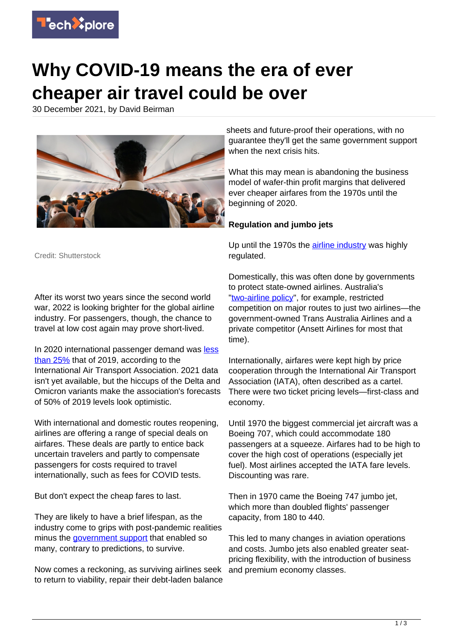

## **Why COVID-19 means the era of ever cheaper air travel could be over**

30 December 2021, by David Beirman



Credit: Shutterstock

After its worst two years since the second world war, 2022 is looking brighter for the global airline industry. For passengers, though, the chance to travel at low cost again may prove short-lived.

In 2020 international passenger demand was [less](https://www.iata.org/en/pressroom/pr/2021-02-03-02/) [than 25%](https://www.iata.org/en/pressroom/pr/2021-02-03-02/) that of 2019, according to the International Air Transport Association. 2021 data isn't yet available, but the hiccups of the Delta and Omicron variants make the association's forecasts of 50% of 2019 levels look optimistic.

With international and domestic routes reopening, airlines are offering a range of special deals on airfares. These deals are partly to entice back uncertain travelers and partly to compensate passengers for costs required to travel internationally, such as fees for COVID tests.

But don't expect the cheap fares to last.

They are likely to have a brief lifespan, as the industry come to grips with post-pandemic realities minus the [government support](https://techxplore.com/tags/government+support/) that enabled so many, contrary to predictions, to survive.

Now comes a reckoning, as surviving airlines seek to return to viability, repair their debt-laden balance

sheets and future-proof their operations, with no guarantee they'll get the same government support when the next crisis hits.

What this may mean is abandoning the business model of wafer-thin profit margins that delivered ever cheaper airfares from the 1970s until the beginning of 2020.

## **Regulation and jumbo jets**

Up until the 1970s the [airline industry](https://techxplore.com/tags/airline+industry/) was highly regulated.

Domestically, this was often done by governments to protect state-owned airlines. Australia's ["two-airline policy"](https://www.taamuseum.org.au/TwoAirlinePolicy/), for example, restricted competition on major routes to just two airlines—the government-owned Trans Australia Airlines and a private competitor (Ansett Airlines for most that time).

Internationally, airfares were kept high by price cooperation through the International Air Transport Association (IATA), often described as a cartel. There were two ticket pricing levels—first-class and economy.

Until 1970 the biggest commercial jet aircraft was a Boeing 707, which could accommodate 180 passengers at a squeeze. Airfares had to be high to cover the high cost of operations (especially jet fuel). Most airlines accepted the IATA fare levels. Discounting was rare.

Then in 1970 came the Boeing 747 jumbo jet, which more than doubled flights' passenger capacity, from 180 to 440.

This led to many changes in aviation operations and costs. Jumbo jets also enabled greater seatpricing flexibility, with the introduction of business and premium economy classes.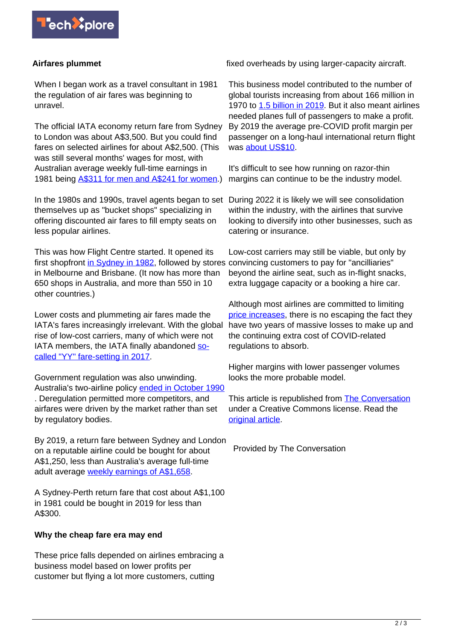

## **Airfares plummet**

When I began work as a travel consultant in 1981 the regulation of air fares was beginning to unravel.

The official IATA economy return fare from Sydney to London was about A\$3,500. But you could find fares on selected airlines for about A\$2,500. (This was still several months' wages for most, with Australian average weekly full-time earnings in 1981 being **[A\\$311 for men and A\\$241 for women.](https://aifs.gov.au/media-releases/families-then-and-now-how-income-and-employment-changed-australian-households-between-1980-and-2019)**)

In the 1980s and 1990s, travel agents began to set During 2022 it is likely we will see consolidation themselves up as "bucket shops" specializing in offering discounted air fares to fill empty seats on less popular airlines.

This was how Flight Centre started. It opened its first shopfront [in Sydney in 1982](https://www.fctgl.com/our-brands/leisure/flight-centre/), followed by stores in Melbourne and Brisbane. (It now has more than 650 shops in Australia, and more than 550 in 10 other countries.)

Lower costs and plummeting air fares made the IATA's fares increasingly irrelevant. With the global rise of low-cost carriers, many of which were not IATA members, the IATA finally abandoned [so](https://www.iata.org/en/pressroom/pr/2017-07-06-02/)[called "YY" fare-setting in 2017.](https://www.iata.org/en/pressroom/pr/2017-07-06-02/)

Government regulation was also unwinding. Australia's two-airline policy [ended in October 1990](https://www.bitre.gov.au/sites/default/files/report_073.pdf) . Deregulation permitted more competitors, and airfares were driven by the market rather than set by regulatory bodies.

By 2019, a return fare between Sydney and London on a reputable airline could be bought for about A\$1,250, less than Australia's average full-time adult average [weekly earnings of A\\$1,658](https://www.abs.gov.au/statistics/labour/earnings-and-work-hours/average-weekly-earnings-australia/nov-2019).

A Sydney-Perth return fare that cost about A\$1,100 in 1981 could be bought in 2019 for less than A\$300.

## **Why the cheap fare era may end**

These price falls depended on airlines embracing a business model based on lower profits per customer but flying a lot more customers, cutting

fixed overheads by using larger-capacity aircraft.

This business model contributed to the number of global tourists increasing from about 166 million in 1970 to [1.5 billion in 2019.](https://ourworldindata.org/tourism) But it also meant airlines needed planes full of passengers to make a profit. By 2019 the average pre-COVID profit margin per passenger on a long-haul international return flight was [about US\\$10](https://www.ainonline.com/aviation-news/air-transport/2019-12-11/iata-again-cuts-airline-profitability-outlook-2019).

It's difficult to see how running on razor-thin margins can continue to be the industry model.

within the industry, with the airlines that survive looking to diversify into other businesses, such as catering or insurance.

Low-cost carriers may still be viable, but only by convincing customers to pay for "ancilliaries" beyond the airline seat, such as in-flight snacks, extra luggage capacity or a booking a hire car.

Although most airlines are committed to limiting [price increases](https://techxplore.com/tags/price+increases/), there is no escaping the fact they have two years of massive losses to make up and the continuing extra cost of COVID-related regulations to absorb.

Higher margins with lower passenger volumes looks the more probable model.

This article is republished from [The Conversation](https://theconversation.com) under a Creative Commons license. Read the [original article](https://theconversation.com/why-covid-19-means-the-era-of-ever-cheaper-air-travel-could-be-over-172149).

Provided by The Conversation